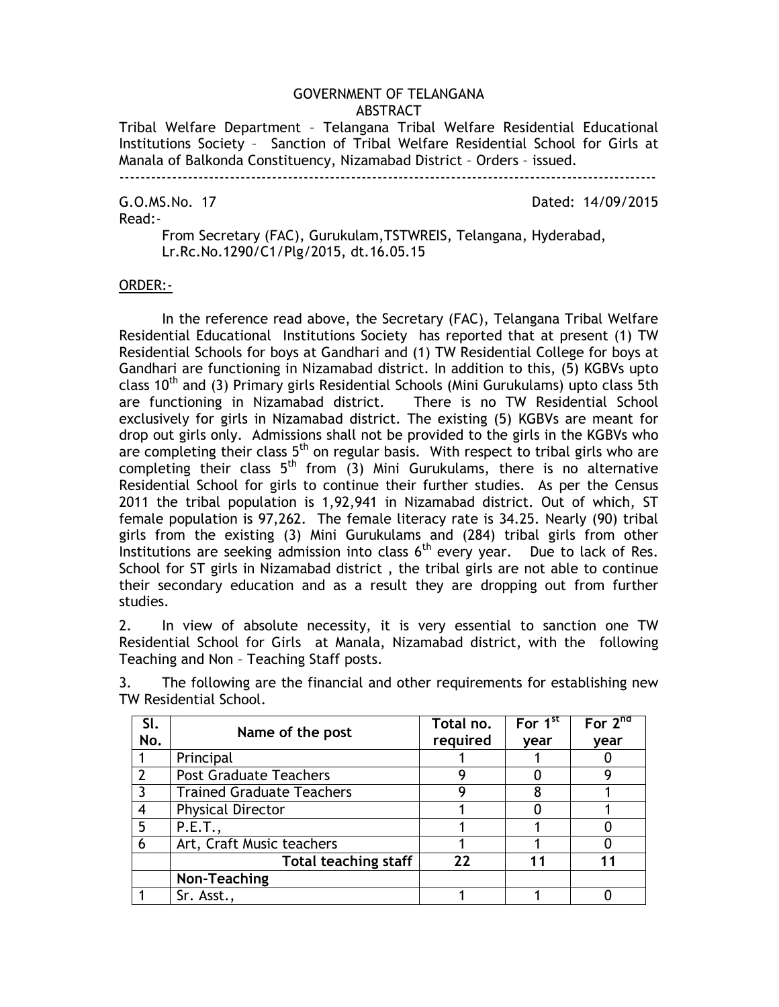### GOVERNMENT OF TELANGANA ABSTRACT

Tribal Welfare Department – Telangana Tribal Welfare Residential Educational Institutions Society – Sanction of Tribal Welfare Residential School for Girls at Manala of Balkonda Constituency, Nizamabad District – Orders – issued.

# Read:-

G.O.MS.No. 17 Dated: 14/09/2015

From Secretary (FAC), Gurukulam,TSTWREIS, Telangana, Hyderabad, Lr.Rc.No.1290/C1/Plg/2015, dt.16.05.15

#### ORDER:-

In the reference read above, the Secretary (FAC), Telangana Tribal Welfare Residential Educational Institutions Society has reported that at present (1) TW Residential Schools for boys at Gandhari and (1) TW Residential College for boys at Gandhari are functioning in Nizamabad district. In addition to this, (5) KGBVs upto class 10<sup>th</sup> and (3) Primary girls Residential Schools (Mini Gurukulams) upto class 5th are functioning in Nizamabad district. There is no TW Residential School exclusively for girls in Nizamabad district. The existing (5) KGBVs are meant for drop out girls only. Admissions shall not be provided to the girls in the KGBVs who are completing their class  $5<sup>th</sup>$  on regular basis. With respect to tribal girls who are completing their class  $5<sup>th</sup>$  from (3) Mini Gurukulams, there is no alternative Residential School for girls to continue their further studies. As per the Census 2011 the tribal population is 1,92,941 in Nizamabad district. Out of which, ST female population is 97,262. The female literacy rate is 34.25. Nearly (90) tribal girls from the existing (3) Mini Gurukulams and (284) tribal girls from other Institutions are seeking admission into class  $6<sup>th</sup>$  every year. Due to lack of Res. School for ST girls in Nizamabad district , the tribal girls are not able to continue their secondary education and as a result they are dropping out from further studies.

2. In view of absolute necessity, it is very essential to sanction one TW Residential School for Girls at Manala, Nizamabad district, with the following Teaching and Non – Teaching Staff posts.

| SI.<br>No. | Name of the post                 | Total no.<br>required | For 1 <sup>st</sup><br>year | For $2^{nd}$<br>vear |
|------------|----------------------------------|-----------------------|-----------------------------|----------------------|
|            | Principal                        |                       |                             |                      |
|            | <b>Post Graduate Teachers</b>    |                       |                             |                      |
|            | <b>Trained Graduate Teachers</b> |                       | 8                           |                      |
| 4          | <b>Physical Director</b>         |                       |                             |                      |
| 5          | P.E.T.,                          |                       |                             |                      |
| 6          | Art, Craft Music teachers        |                       |                             |                      |
|            | <b>Total teaching staff</b>      | 22                    |                             |                      |
|            | Non-Teaching                     |                       |                             |                      |
|            | Sr. Asst.,                       |                       |                             |                      |

3. The following are the financial and other requirements for establishing new TW Residential School.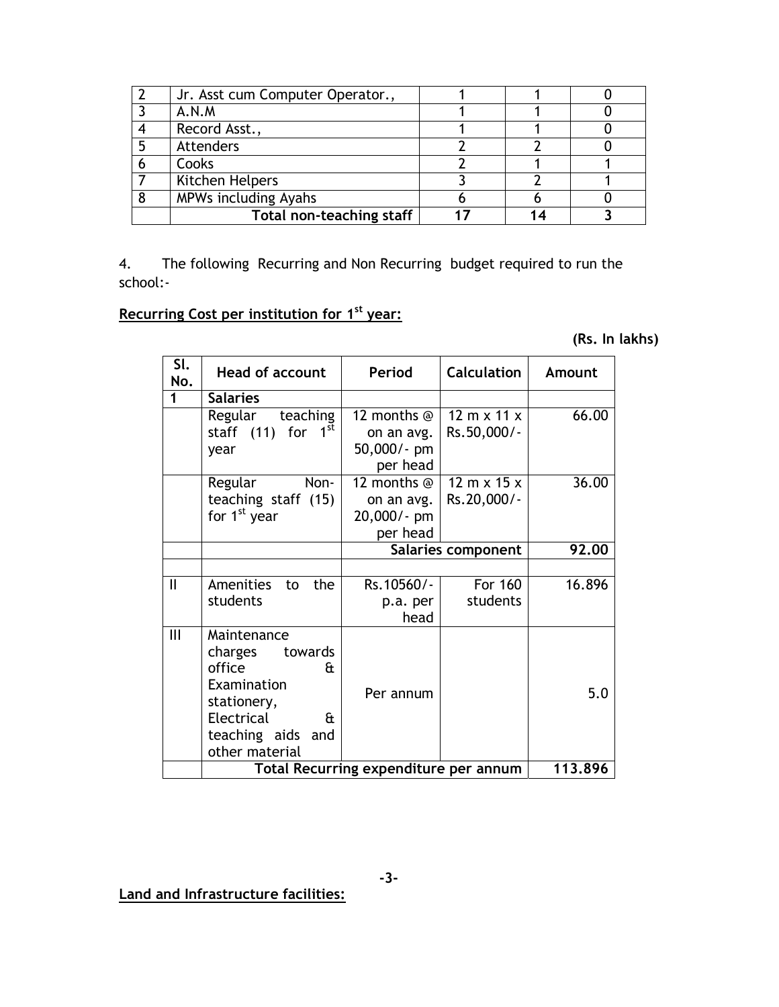| Jr. Asst cum Computer Operator., |  |  |
|----------------------------------|--|--|
| A.N.M                            |  |  |
| Record Asst.,                    |  |  |
| Attenders                        |  |  |
| Cooks                            |  |  |
| Kitchen Helpers                  |  |  |
| MPWs including Ayahs             |  |  |
| Total non-teaching staff         |  |  |

4. The following Recurring and Non Recurring budget required to run the school:-

## **Recurring Cost per institution for 1st year:**

**(Rs. In lakhs)** 

| SI.<br>No.   | <b>Head of account</b>                                                                                                                    | Period                                               | <b>Calculation</b>                                | Amount  |
|--------------|-------------------------------------------------------------------------------------------------------------------------------------------|------------------------------------------------------|---------------------------------------------------|---------|
|              | <b>Salaries</b>                                                                                                                           |                                                      |                                                   |         |
|              | Regular teaching<br>1 <sup>st</sup><br>staff (11) for<br>year                                                                             | 12 months @<br>on an avg.<br>50,000/- pm<br>per head | $12 \text{ m} \times 11 \text{ x}$<br>Rs.50,000/- | 66.00   |
|              | Non-<br>Regular<br>teaching staff (15)<br>for 1 <sup>st</sup> year                                                                        | 12 months @<br>on an avg.<br>20,000/- pm<br>per head | $12 \text{ m} \times 15 \times$<br>Rs.20,000/-    | 36.00   |
|              |                                                                                                                                           | Salaries component                                   |                                                   | 92.00   |
|              |                                                                                                                                           |                                                      |                                                   |         |
| $\mathbf{I}$ | Amenities<br>the<br>to<br>students                                                                                                        | Rs.10560/-<br>p.a. per<br>head                       | For 160<br>students                               | 16.896  |
| Ш            | Maintenance<br>charges<br>towards<br>office<br>f۰<br>Examination<br>stationery,<br>Electrical<br>Œ<br>teaching aids and<br>other material | Per annum                                            |                                                   | 5.0     |
|              | Total Recurring expenditure per annum                                                                                                     |                                                      |                                                   | 113.896 |

**Land and Infrastructure facilities:**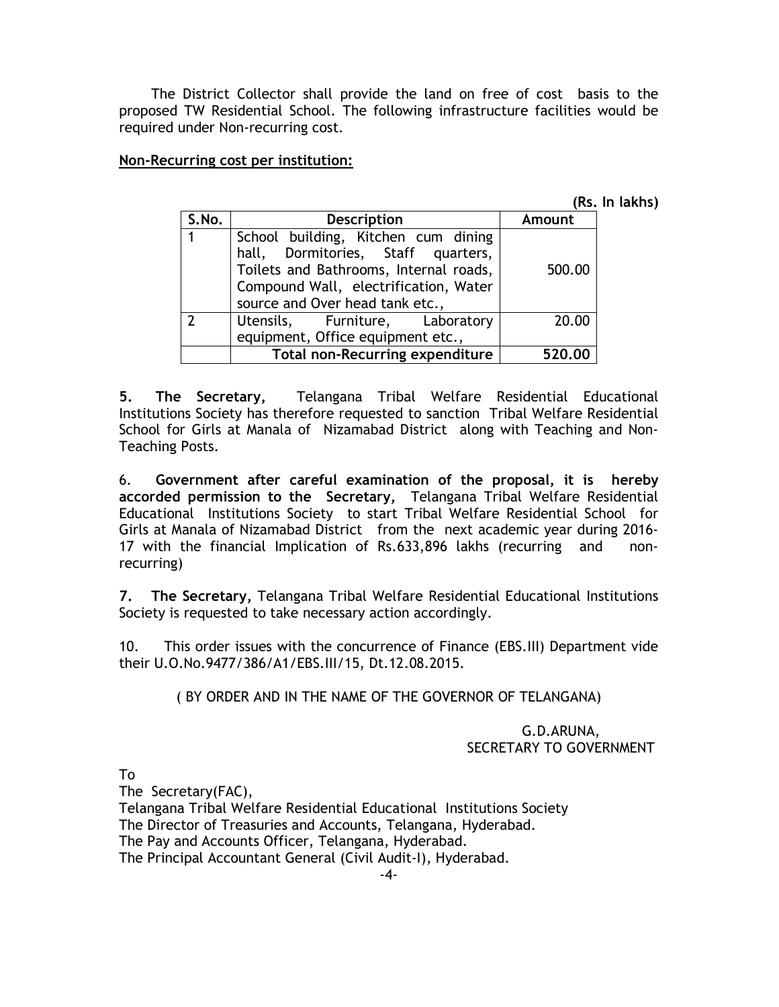The District Collector shall provide the land on free of cost basis to the proposed TW Residential School. The following infrastructure facilities would be required under Non-recurring cost.

### **Non-Recurring cost per institution:**

**(Rs. In lakhs)** 

| S.No.       | <b>Description</b>                                                                                                                                                                              | Amount |
|-------------|-------------------------------------------------------------------------------------------------------------------------------------------------------------------------------------------------|--------|
| $\mathbf 1$ | School building, Kitchen cum dining<br>hall, Dormitories, Staff quarters,<br>Toilets and Bathrooms, Internal roads,<br>Compound Wall, electrification, Water<br>source and Over head tank etc., | 500.00 |
| າ           | Utensils, Furniture, Laboratory                                                                                                                                                                 | 20.00  |
|             | equipment, Office equipment etc.,                                                                                                                                                               |        |
|             | <b>Total non-Recurring expenditure</b>                                                                                                                                                          | 520.00 |

**5. The Secretary,** Telangana Tribal Welfare Residential Educational Institutions Society has therefore requested to sanction Tribal Welfare Residential School for Girls at Manala of Nizamabad District along with Teaching and Non-Teaching Posts.

6. **Government after careful examination of the proposal, it is hereby accorded permission to the Secretary,** Telangana Tribal Welfare Residential Educational Institutions Society to start Tribal Welfare Residential School for Girls at Manala of Nizamabad District from the next academic year during 2016- 17 with the financial Implication of Rs.633,896 lakhs (recurring and nonrecurring)

**7. The Secretary,** Telangana Tribal Welfare Residential Educational Institutions Society is requested to take necessary action accordingly.

10. This order issues with the concurrence of Finance (EBS.III) Department vide their U.O.No.9477/386/A1/EBS.III/15, Dt.12.08.2015.

( BY ORDER AND IN THE NAME OF THE GOVERNOR OF TELANGANA)

### G.D.ARUNA, SECRETARY TO GOVERNMENT

To

The Secretary(FAC),

Telangana Tribal Welfare Residential Educational Institutions Society

The Director of Treasuries and Accounts, Telangana, Hyderabad.

The Pay and Accounts Officer, Telangana, Hyderabad.

The Principal Accountant General (Civil Audit-I), Hyderabad.